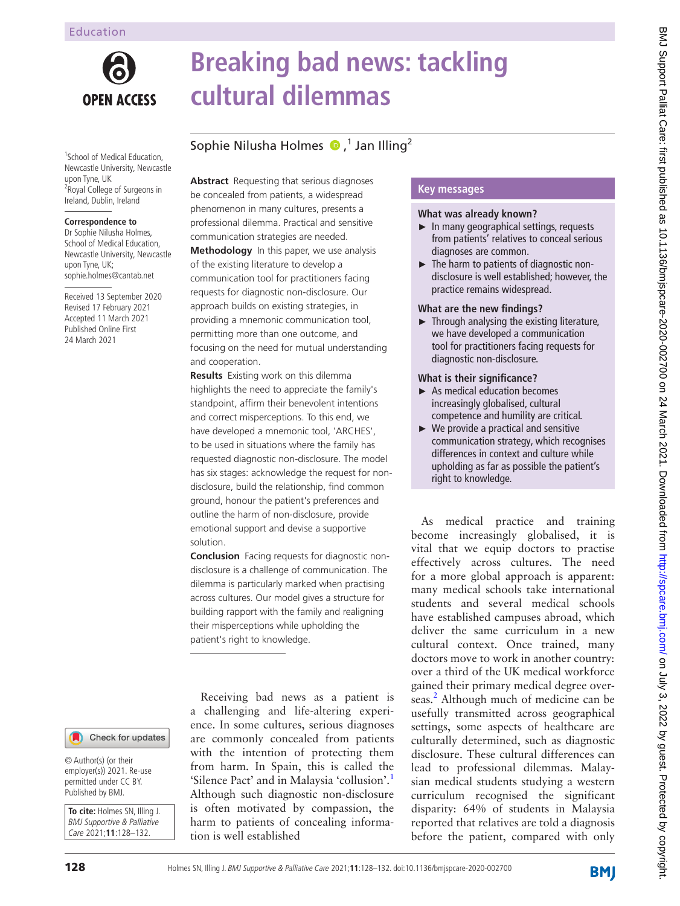

# **Breaking bad news: tackling cultural dilemmas**

# Sophie Nilusha Holmes  $\bullet$ ,<sup>1</sup> Jan Illing<sup>2</sup>

1 School of Medical Education, Newcastle University, Newcastle upon Tyne, UK <sup>2</sup> Royal College of Surgeons in Ireland, Dublin, Ireland

#### **Correspondence to**

Dr Sophie Nilusha Holmes, School of Medical Education, Newcastle University, Newcastle upon Tyne, UK; sophie.holmes@cantab.net

Received 13 September 2020 Revised 17 February 2021 Accepted 11 March 2021 Published Online First 24 March 2021

**Abstract** Requesting that serious diagnoses be concealed from patients, a widespread phenomenon in many cultures, presents a professional dilemma. Practical and sensitive communication strategies are needed. **Methodology** In this paper, we use analysis of the existing literature to develop a communication tool for practitioners facing requests for diagnostic non-disclosure. Our approach builds on existing strategies, in providing a mnemonic communication tool, permitting more than one outcome, and focusing on the need for mutual understanding and cooperation.

**Results** Existing work on this dilemma highlights the need to appreciate the family's standpoint, affirm their benevolent intentions and correct misperceptions. To this end, we have developed a mnemonic tool, 'ARCHES', to be used in situations where the family has requested diagnostic non-disclosure. The model has six stages: acknowledge the request for nondisclosure, build the relationship, find common ground, honour the patient's preferences and outline the harm of non-disclosure, provide emotional support and devise a supportive solution.

**Conclusion** Facing requests for diagnostic nondisclosure is a challenge of communication. The dilemma is particularly marked when practising across cultures. Our model gives a structure for building rapport with the family and realigning their misperceptions while upholding the patient's right to knowledge.

Receiving bad news as a patient is a challenging and life-altering experience. In some cultures, serious diagnoses are commonly concealed from patients with the intention of protecting them from harm. In Spain, this is called the 'Silence Pact' and in Malaysia 'collusion'.[1](#page-4-0) Although such diagnostic non-disclosure is often motivated by compassion, the harm to patients of concealing information is well established

# **Key messages**

#### **What was already known?**

- ► In many geographical settings, requests from patients' relatives to conceal serious diagnoses are common.
- ► The harm to patients of diagnostic nondisclosure is well established; however, the practice remains widespread.

# **What are the new findings?**

► Through analysing the existing literature, we have developed a communication tool for practitioners facing requests for diagnostic non-disclosure.

#### **What is their significance?**

- $\blacktriangleright$  As medical education becomes increasingly globalised, cultural competence and humility are critical.
- $\blacktriangleright$  We provide a practical and sensitive communication strategy, which recognises differences in context and culture while upholding as far as possible the patient's right to knowledge.

As medical practice and training become increasingly globalised, it is vital that we equip doctors to practise effectively across cultures. The need for a more global approach is apparent: many medical schools take international students and several medical schools have established campuses abroad, which deliver the same curriculum in a new cultural context. Once trained, many doctors move to work in another country: over a third of the UK medical workforce gained their primary medical degree over-seas.<sup>[2](#page-4-1)</sup> Although much of medicine can be usefully transmitted across geographical settings, some aspects of healthcare are culturally determined, such as diagnostic disclosure. These cultural differences can lead to professional dilemmas. Malaysian medical students studying a western curriculum recognised the significant disparity: 64% of students in Malaysia reported that relatives are told a diagnosis before the patient, compared with only

BMJ Support Palliat Care: first published as 10.1136/bmjspcare-2020-002700 on 24 March 2021. Downloaded from http://spcare.bmj.com/ on July 3, 2022 by guest. Protected by copyright. BMJ Support Palliat Care: first published as 10.1136/bmjspcare-2020-002700 on 24 March 2021. Downloaded from <http://spcare.bmj.com/> 9.111y 3, 2022 by guest. Protected by copyright.

Check for updates

© Author(s) (or their employer(s)) 2021. Re-use permitted under CC BY. Published by BMJ.

**To cite:** Holmes SN, Illing J. BMJ Supportive & Palliative Care 2021;**11**:128–132.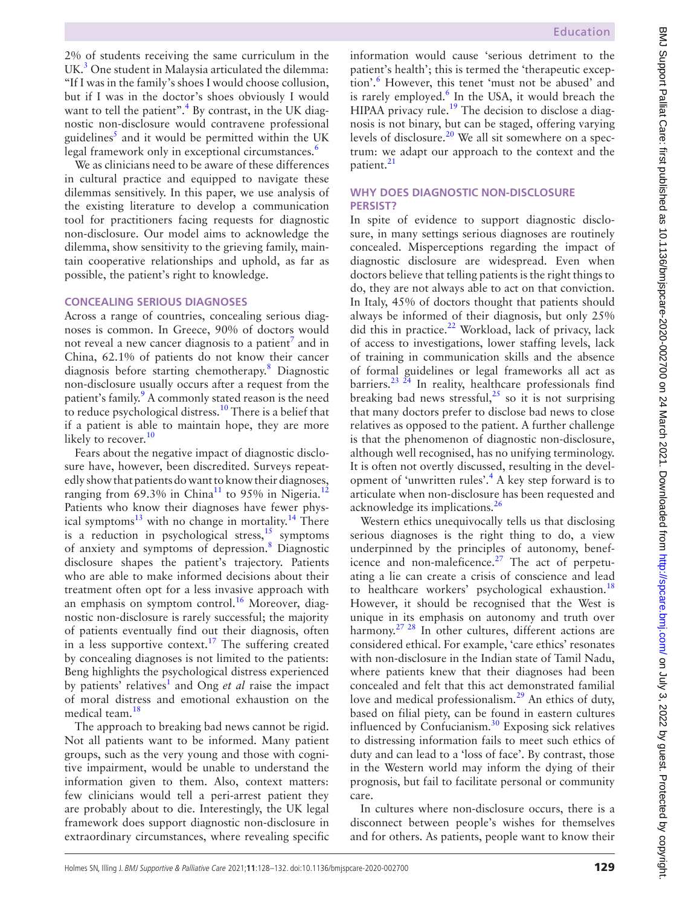2% of students receiving the same curriculum in the UK.<sup>3</sup> One student in Malaysia articulated the dilemma: "If I was in the family's shoes I would choose collusion, but if I was in the doctor's shoes obviously I would want to tell the patient".<sup>4</sup> By contrast, in the UK diagnostic non-disclosure would contravene professional guidelines<sup>5</sup> and it would be permitted within the UK legal framework only in exceptional circumstances.<sup>[6](#page-4-5)</sup>

We as clinicians need to be aware of these differences in cultural practice and equipped to navigate these dilemmas sensitively. In this paper, we use analysis of the existing literature to develop a communication tool for practitioners facing requests for diagnostic non-disclosure. Our model aims to acknowledge the dilemma, show sensitivity to the grieving family, maintain cooperative relationships and uphold, as far as possible, the patient's right to knowledge.

#### **CONCEALING SERIOUS DIAGNOSES**

Across a range of countries, concealing serious diagnoses is common. In Greece, 90% of doctors would not reveal a new cancer diagnosis to a patient<sup>7</sup> and in China, 62.1% of patients do not know their cancer diagnosis before starting chemotherapy.<sup>[8](#page-4-7)</sup> Diagnostic non-disclosure usually occurs after a request from the patient's family.<sup>9</sup> A commonly stated reason is the need to reduce psychological distress.<sup>[10](#page-4-9)</sup> There is a belief that if a patient is able to maintain hope, they are more likely to recover.<sup>10</sup>

Fears about the negative impact of diagnostic disclosure have, however, been discredited. Surveys repeatedly show that patients do want to know their diagnoses, ranging from 69.3% in China<sup>11</sup> to 95% in Nigeria.<sup>12</sup> Patients who know their diagnoses have fewer phys-ical symptoms<sup>[13](#page-4-12)</sup> with no change in mortality.<sup>14</sup> There is a reduction in psychological stress, $\frac{15}{15}$  symptoms of anxiety and symptoms of depression.<sup>[8](#page-4-7)</sup> Diagnostic disclosure shapes the patient's trajectory. Patients who are able to make informed decisions about their treatment often opt for a less invasive approach with an emphasis on symptom control.<sup>16</sup> Moreover, diagnostic non-disclosure is rarely successful; the majority of patients eventually find out their diagnosis, often in a less supportive context.<sup>17</sup> The suffering created by concealing diagnoses is not limited to the patients: Beng highlights the psychological distress experienced by patients' relatives<sup>[1](#page-4-0)</sup> and Ong *et al* raise the impact of moral distress and emotional exhaustion on the medical team[.18](#page-4-17)

The approach to breaking bad news cannot be rigid. Not all patients want to be informed. Many patient groups, such as the very young and those with cognitive impairment, would be unable to understand the information given to them. Also, context matters: few clinicians would tell a peri-arrest patient they are probably about to die. Interestingly, the UK legal framework does support diagnostic non-disclosure in extraordinary circumstances, where revealing specific

information would cause 'serious detriment to the patient's health'; this is termed the 'therapeutic exception'.[6](#page-4-5) However, this tenet 'must not be abused' and is rarely employed.<sup>[6](#page-4-5)</sup> In the USA, it would breach the HIPAA privacy rule.<sup>[19](#page-4-18)</sup> The decision to disclose a diagnosis is not binary, but can be staged, offering varying levels of disclosure.<sup>20</sup> We all sit somewhere on a spectrum: we adapt our approach to the context and the patient.<sup>21</sup>

### **WHY DOES DIAGNOSTIC NON-DISCLOSURE PERSIST?**

In spite of evidence to support diagnostic disclosure, in many settings serious diagnoses are routinely concealed. Misperceptions regarding the impact of diagnostic disclosure are widespread. Even when doctors believe that telling patients is the right things to do, they are not always able to act on that conviction. In Italy, 45% of doctors thought that patients should always be informed of their diagnosis, but only 25% did this in practice. $^{22}$  $^{22}$  $^{22}$  Workload, lack of privacy, lack of access to investigations, lower staffing levels, lack of training in communication skills and the absence of formal guidelines or legal frameworks all act as barriers.<sup>23 24</sup> In reality, healthcare professionals find breaking bad news stressful, $^{25}$  so it is not surprising that many doctors prefer to disclose bad news to close relatives as opposed to the patient. A further challenge is that the phenomenon of diagnostic non-disclosure, although well recognised, has no unifying terminology. It is often not overtly discussed, resulting in the development of 'unwritten rules'.[4](#page-4-3) A key step forward is to articulate when non-disclosure has been requested and acknowledge its implications.[26](#page-4-24)

Western ethics unequivocally tells us that disclosing serious diagnoses is the right thing to do, a view underpinned by the principles of autonomy, benef-icence and non-maleficence.<sup>[27](#page-4-25)</sup> The act of perpetuating a lie can create a crisis of conscience and lead to healthcare workers' psychological exhaustion.<sup>18</sup> However, it should be recognised that the West is unique in its emphasis on autonomy and truth over harmony.<sup>27</sup> <sup>28</sup> In other cultures, different actions are considered ethical. For example, 'care ethics' resonates with non-disclosure in the Indian state of Tamil Nadu, where patients knew that their diagnoses had been concealed and felt that this act demonstrated familial love and medical professionalism.<sup>29</sup> An ethics of duty, based on filial piety, can be found in eastern cultures influenced by Confucianism.<sup>30</sup> Exposing sick relatives to distressing information fails to meet such ethics of duty and can lead to a 'loss of face'. By contrast, those in the Western world may inform the dying of their prognosis, but fail to facilitate personal or community care.

In cultures where non-disclosure occurs, there is a disconnect between people's wishes for themselves and for others. As patients, people want to know their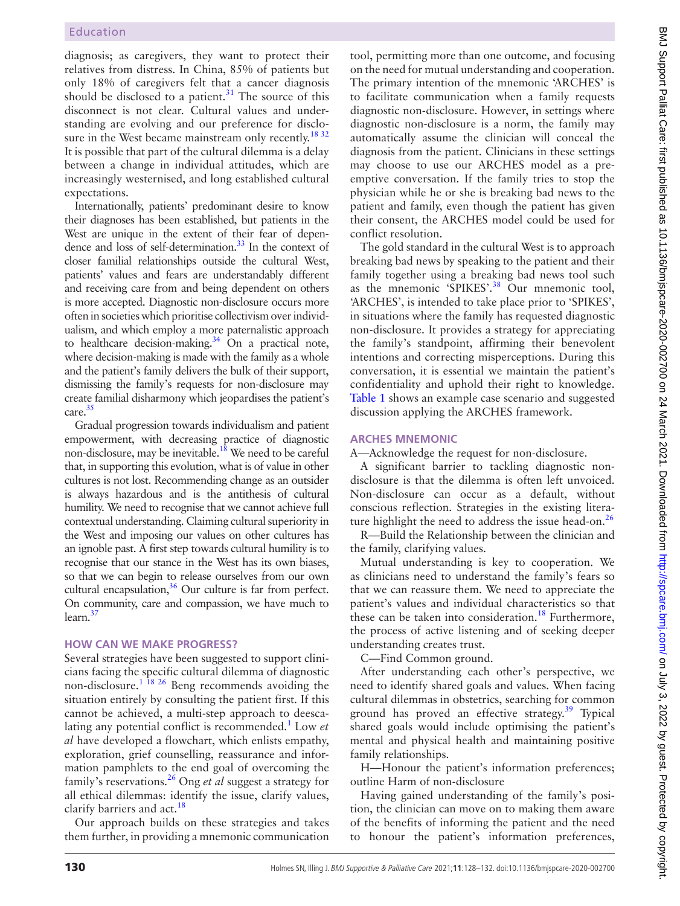diagnosis; as caregivers, they want to protect their relatives from distress. In China, 85% of patients but only 18% of caregivers felt that a cancer diagnosis should be disclosed to a patient. $31$  The source of this disconnect is not clear. Cultural values and understanding are evolving and our preference for disclo-sure in the West became mainstream only recently.<sup>[18 32](#page-4-17)</sup> It is possible that part of the cultural dilemma is a delay between a change in individual attitudes, which are increasingly westernised, and long established cultural expectations.

Internationally, patients' predominant desire to know their diagnoses has been established, but patients in the West are unique in the extent of their fear of dependence and loss of self-determination.<sup>33</sup> In the context of closer familial relationships outside the cultural West, patients' values and fears are understandably different and receiving care from and being dependent on others is more accepted. Diagnostic non-disclosure occurs more often in societies which prioritise collectivism over individualism, and which employ a more paternalistic approach to healthcare decision-making. $34$  On a practical note, where decision-making is made with the family as a whole and the patient's family delivers the bulk of their support, dismissing the family's requests for non-disclosure may create familial disharmony which jeopardises the patient's care.<sup>[35](#page-4-31)</sup>

Gradual progression towards individualism and patient empowerment, with decreasing practice of diagnostic non-disclosure, may be inevitable.<sup>18</sup> We need to be careful that, in supporting this evolution, what is of value in other cultures is not lost. Recommending change as an outsider is always hazardous and is the antithesis of cultural humility. We need to recognise that we cannot achieve full contextual understanding. Claiming cultural superiority in the West and imposing our values on other cultures has an ignoble past. A first step towards cultural humility is to recognise that our stance in the West has its own biases, so that we can begin to release ourselves from our own cultural encapsulation, $36$  Our culture is far from perfect. On community, care and compassion, we have much to learn[.37](#page-4-33)

# **HOW CAN WE MAKE PROGRESS?**

Several strategies have been suggested to support clinicians facing the specific cultural dilemma of diagnostic non-disclosure.<sup>1</sup> <sup>18</sup> <sup>26</sup> Beng recommends avoiding the situation entirely by consulting the patient first. If this cannot be achieved, a multi-step approach to deesca-lating any potential conflict is recommended.<sup>[1](#page-4-0)</sup> Low *et al* have developed a flowchart, which enlists empathy, exploration, grief counselling, reassurance and information pamphlets to the end goal of overcoming the family's reservations.[26](#page-4-24) Ong *et al* suggest a strategy for all ethical dilemmas: identify the issue, clarify values, clarify barriers and act.<sup>18</sup>

Our approach builds on these strategies and takes them further, in providing a mnemonic communication

tool, permitting more than one outcome, and focusing on the need for mutual understanding and cooperation. The primary intention of the mnemonic 'ARCHES' is to facilitate communication when a family requests diagnostic non-disclosure. However, in settings where diagnostic non-disclosure is a norm, the family may automatically assume the clinician will conceal the diagnosis from the patient. Clinicians in these settings may choose to use our ARCHES model as a preemptive conversation. If the family tries to stop the physician while he or she is breaking bad news to the patient and family, even though the patient has given their consent, the ARCHES model could be used for conflict resolution.

The gold standard in the cultural West is to approach breaking bad news by speaking to the patient and their family together using a breaking bad news tool such as the mnemonic 'SPIKES'.<sup>38</sup> Our mnemonic tool, 'ARCHES', is intended to take place prior to 'SPIKES', in situations where the family has requested diagnostic non-disclosure. It provides a strategy for appreciating the family's standpoint, affirming their benevolent intentions and correcting misperceptions. During this conversation, it is essential we maintain the patient's confidentiality and uphold their right to knowledge. [Table](#page-3-0) 1 shows an example case scenario and suggested discussion applying the ARCHES framework.

# **ARCHES MNEMONIC**

A—Acknowledge the request for non-disclosure.

A significant barrier to tackling diagnostic nondisclosure is that the dilemma is often left unvoiced. Non-disclosure can occur as a default, without conscious reflection. Strategies in the existing literature highlight the need to address the issue head-on. $^{26}$  $^{26}$  $^{26}$ 

R—Build the Relationship between the clinician and the family, clarifying values.

Mutual understanding is key to cooperation. We as clinicians need to understand the family's fears so that we can reassure them. We need to appreciate the patient's values and individual characteristics so that these can be taken into consideration.<sup>[18](#page-4-17)</sup> Furthermore, the process of active listening and of seeking deeper understanding creates trust.

C—Find Common ground.

After understanding each other's perspective, we need to identify shared goals and values. When facing cultural dilemmas in obstetrics, searching for common ground has proved an effective strategy.<sup>[39](#page-4-35)</sup> Typical shared goals would include optimising the patient's mental and physical health and maintaining positive family relationships.

H—Honour the patient's information preferences; outline Harm of non-disclosure

Having gained understanding of the family's position, the clinician can move on to making them aware of the benefits of informing the patient and the need to honour the patient's information preferences,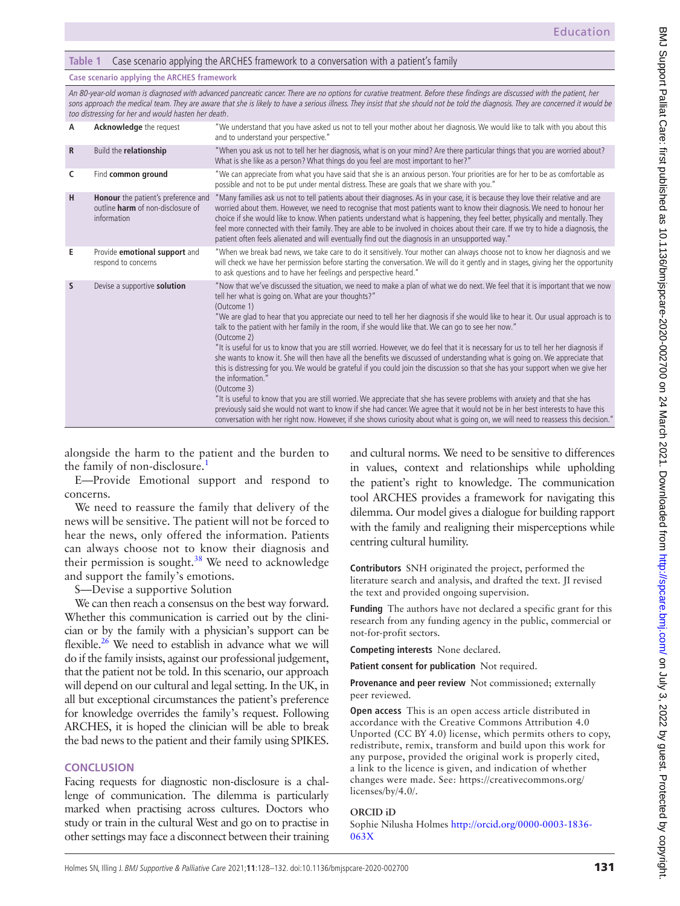#### <span id="page-3-0"></span>**Table 1** Case scenario applying the ARCHES framework to a conversation with a patient's family

#### **Case scenario applying the ARCHES framework**

An 80-year-old woman is diagnosed with advanced pancreatic cancer. There are no options for curative treatment. Before these findings are discussed with the patient, her sons approach the medical team. They are aware that she is likely to have a serious illness. They insist that she should not be told the diagnosis. They are concerned it would be too distressing for her and would hasten her death.

| A            | <b>Acknowledge</b> the request                                                                 | "We understand that you have asked us not to tell your mother about her diagnosis. We would like to talk with you about this<br>and to understand your perspective."                                                                                                                                                                                                                                                                                                                                                                                                                                                                                                                                                                                                                                                                                                                                                                                                                                                                                                                                                                                                                                                                                                                                                 |
|--------------|------------------------------------------------------------------------------------------------|----------------------------------------------------------------------------------------------------------------------------------------------------------------------------------------------------------------------------------------------------------------------------------------------------------------------------------------------------------------------------------------------------------------------------------------------------------------------------------------------------------------------------------------------------------------------------------------------------------------------------------------------------------------------------------------------------------------------------------------------------------------------------------------------------------------------------------------------------------------------------------------------------------------------------------------------------------------------------------------------------------------------------------------------------------------------------------------------------------------------------------------------------------------------------------------------------------------------------------------------------------------------------------------------------------------------|
| $\mathsf{R}$ | Build the relationship                                                                         | "When you ask us not to tell her her diagnosis, what is on your mind? Are there particular things that you are worried about?<br>What is she like as a person? What things do you feel are most important to her?"                                                                                                                                                                                                                                                                                                                                                                                                                                                                                                                                                                                                                                                                                                                                                                                                                                                                                                                                                                                                                                                                                                   |
| C            | Find common ground                                                                             | "We can appreciate from what you have said that she is an anxious person. Your priorities are for her to be as comfortable as<br>possible and not to be put under mental distress. These are goals that we share with you."                                                                                                                                                                                                                                                                                                                                                                                                                                                                                                                                                                                                                                                                                                                                                                                                                                                                                                                                                                                                                                                                                          |
| н            | Honour the patient's preference and<br>outline <b>harm</b> of non-disclosure of<br>information | "Many families ask us not to tell patients about their diagnoses. As in your case, it is because they love their relative and are<br>worried about them. However, we need to recognise that most patients want to know their diagnosis. We need to honour her<br>choice if she would like to know. When patients understand what is happening, they feel better, physically and mentally. They<br>feel more connected with their family. They are able to be involved in choices about their care. If we try to hide a diagnosis, the<br>patient often feels alienated and will eventually find out the diagnosis in an unsupported way."                                                                                                                                                                                                                                                                                                                                                                                                                                                                                                                                                                                                                                                                            |
| Е            | Provide emotional support and<br>respond to concerns                                           | "When we break bad news, we take care to do it sensitively. Your mother can always choose not to know her diagnosis and we<br>will check we have her permission before starting the conversation. We will do it gently and in stages, giving her the opportunity<br>to ask questions and to have her feelings and perspective heard."                                                                                                                                                                                                                                                                                                                                                                                                                                                                                                                                                                                                                                                                                                                                                                                                                                                                                                                                                                                |
| S            | Devise a supportive solution                                                                   | "Now that we've discussed the situation, we need to make a plan of what we do next. We feel that it is important that we now<br>tell her what is going on. What are your thoughts?"<br>(Outcome 1)<br>"We are glad to hear that you appreciate our need to tell her her diagnosis if she would like to hear it. Our usual approach is to<br>talk to the patient with her family in the room, if she would like that. We can go to see her now."<br>(Outcome 2)<br>"It is useful for us to know that you are still worried. However, we do feel that it is necessary for us to tell her her diagnosis if<br>she wants to know it. She will then have all the benefits we discussed of understanding what is going on. We appreciate that<br>this is distressing for you. We would be grateful if you could join the discussion so that she has your support when we give her<br>the information."<br>(Outcome 3)<br>"It is useful to know that you are still worried. We appreciate that she has severe problems with anxiety and that she has<br>previously said she would not want to know if she had cancer. We agree that it would not be in her best interests to have this<br>conversation with her right now. However, if she shows curiosity about what is going on, we will need to reassess this decision." |

alongside the harm to the patient and the burden to the family of non-disclosure.<sup>1</sup>

E—Provide Emotional support and respond to concerns.

We need to reassure the family that delivery of the news will be sensitive. The patient will not be forced to hear the news, only offered the information. Patients can always choose not to know their diagnosis and their permission is sought.<sup>38</sup> We need to acknowledge and support the family's emotions.

S—Devise a supportive Solution

We can then reach a consensus on the best way forward. Whether this communication is carried out by the clinician or by the family with a physician's support can be flexible. $26$  We need to establish in advance what we will do if the family insists, against our professional judgement, that the patient not be told. In this scenario, our approach will depend on our cultural and legal setting. In the UK, in all but exceptional circumstances the patient's preference for knowledge overrides the family's request. Following ARCHES, it is hoped the clinician will be able to break the bad news to the patient and their family using SPIKES.

#### **CONCLUSION**

Facing requests for diagnostic non-disclosure is a challenge of communication. The dilemma is particularly marked when practising across cultures. Doctors who study or train in the cultural West and go on to practise in other settings may face a disconnect between their training

and cultural norms. We need to be sensitive to differences in values, context and relationships while upholding the patient's right to knowledge. The communication tool ARCHES provides a framework for navigating this dilemma. Our model gives a dialogue for building rapport with the family and realigning their misperceptions while centring cultural humility.

**Contributors** SNH originated the project, performed the literature search and analysis, and drafted the text. JI revised the text and provided ongoing supervision.

**Funding** The authors have not declared a specific grant for this research from any funding agency in the public, commercial or not-for-profit sectors.

**Competing interests** None declared.

**Patient consent for publication** Not required.

**Provenance and peer review** Not commissioned; externally peer reviewed.

**Open access** This is an open access article distributed in accordance with the Creative Commons Attribution 4.0 Unported (CC BY 4.0) license, which permits others to copy, redistribute, remix, transform and build upon this work for any purpose, provided the original work is properly cited, a link to the licence is given, and indication of whether changes were made. See: [https://creativecommons.org/](https://creativecommons.org/licenses/by/4.0/) [licenses/by/4.0/.](https://creativecommons.org/licenses/by/4.0/)

#### **ORCID iD**

Sophie Nilusha Holmes [http://orcid.org/0000-0003-1836-](http://orcid.org/0000-0003-1836-063X) [063X](http://orcid.org/0000-0003-1836-063X)